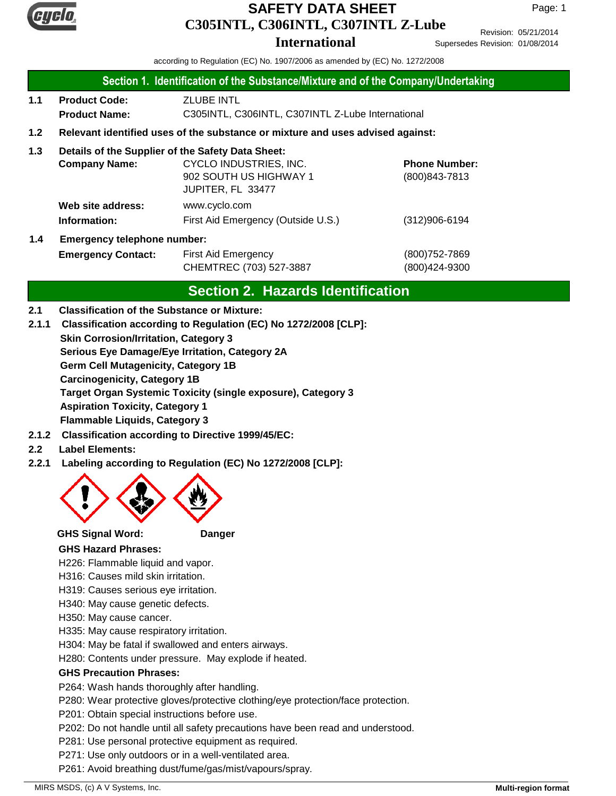

# **C305INTL, C306INTL, C307INTL Z-Lube SAFETY DATA SHEET**

Page: 1

**International**

Revision: 05/21/2014 Supersedes Revision: 01/08/2014

according to Regulation (EC) No. 1907/2006 as amended by (EC) No. 1272/2008

### **Section 1. Identification of the Substance/Mixture and of the Company/Undertaking**

- 1.1 Product Code: **ZLUBE INTL Product Name:** C305INTL, C306INTL, C307INTL Z-Lube International
- **1.2 Relevant identified uses of the substance or mixture and uses advised against:**

## **1.3 Details of the Supplier of the Safety Data Sheet:**

| <b>Company Name:</b>        | CYCLO INDUSTRIES, INC.             | <b>Phone Number:</b> |
|-----------------------------|------------------------------------|----------------------|
|                             | 902 SOUTH US HIGHWAY 1             | (800) 843-7813       |
|                             | JUPITER, FL 33477                  |                      |
| Web site address:           | www.cyclo.com                      |                      |
| Information:                | First Aid Emergency (Outside U.S.) | $(312)906 - 6194$    |
| Emarganov tolonhono numbor: |                                    |                      |

# **1.4 Emergency telephone number:**

**Emergency Contact:** First Aid Emergency **Emergency** (800)752-7869 CHEMTREC (703) 527-3887 (800)424-9300

# **Section 2. Hazards Identification**

- **2.1 Classification of the Substance or Mixture:**
- **2.1.1 Classification according to Regulation (EC) No 1272/2008 [CLP]:**

**Skin Corrosion/Irritation, Category 3**

**Serious Eye Damage/Eye Irritation, Category 2A**

**Germ Cell Mutagenicity, Category 1B**

**Carcinogenicity, Category 1B**

**Target Organ Systemic Toxicity (single exposure), Category 3**

**Aspiration Toxicity, Category 1**

**Flammable Liquids, Category 3**

- **2.1.2 Classification according to Directive 1999/45/EC:**
- **2.2 Label Elements:**
- **2.2.1 Labeling according to Regulation (EC) No 1272/2008 [CLP]:**



**GHS Signal Word: Danger**

## **GHS Hazard Phrases:**

H226: Flammable liquid and vapor.

H316: Causes mild skin irritation.

H319: Causes serious eye irritation.

H340: May cause genetic defects.

H350: May cause cancer.

H335: May cause respiratory irritation.

H304: May be fatal if swallowed and enters airways.

H280: Contents under pressure. May explode if heated.

### **GHS Precaution Phrases:**

P264: Wash hands thoroughly after handling.

P280: Wear protective gloves/protective clothing/eye protection/face protection.

P201: Obtain special instructions before use.

P202: Do not handle until all safety precautions have been read and understood.

P281: Use personal protective equipment as required.

P271: Use only outdoors or in a well-ventilated area.

P261: Avoid breathing dust/fume/gas/mist/vapours/spray.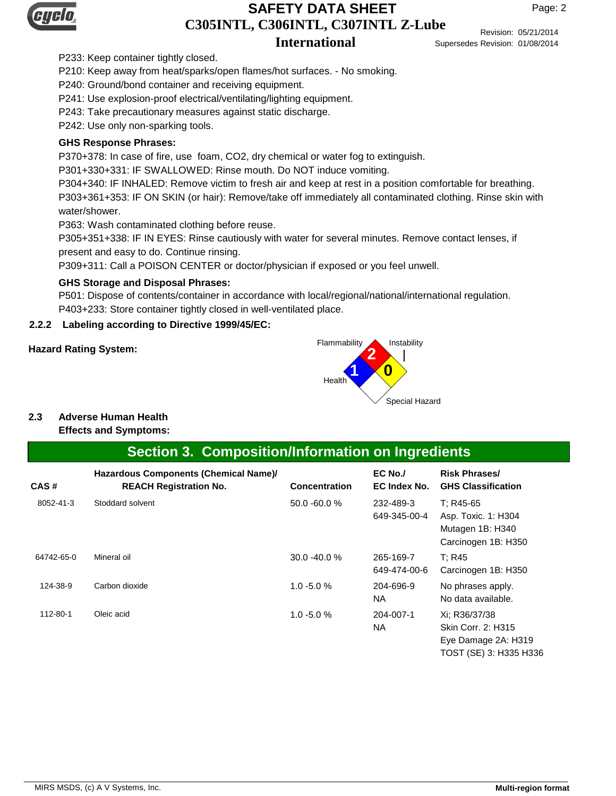

## **C305INTL, C306INTL, C307INTL Z-Lube International SAFETY DATA SHEET**

Revision: 05/21/2014 Supersedes Revision: 01/08/2014

P233: Keep container tightly closed.

P210: Keep away from heat/sparks/open flames/hot surfaces. - No smoking.

P240: Ground/bond container and receiving equipment.

P241: Use explosion-proof electrical/ventilating/lighting equipment.

P243: Take precautionary measures against static discharge.

P242: Use only non-sparking tools.

## **GHS Response Phrases:**

P370+378: In case of fire, use foam, CO2, dry chemical or water fog to extinguish.

P301+330+331: IF SWALLOWED: Rinse mouth. Do NOT induce vomiting.

P304+340: IF INHALED: Remove victim to fresh air and keep at rest in a position comfortable for breathing.

P303+361+353: IF ON SKIN (or hair): Remove/take off immediately all contaminated clothing. Rinse skin with water/shower.

P363: Wash contaminated clothing before reuse.

P305+351+338: IF IN EYES: Rinse cautiously with water for several minutes. Remove contact lenses, if present and easy to do. Continue rinsing.

P309+311: Call a POISON CENTER or doctor/physician if exposed or you feel unwell.

## **GHS Storage and Disposal Phrases:**

P501: Dispose of contents/container in accordance with local/regional/national/international regulation. P403+233: Store container tightly closed in well-ventilated place.

# **2.2.2 Labeling according to Directive 1999/45/EC:**



# **2.3 Adverse Human Health**

### **Effects and Symptoms:**

# **Section 3. Composition/Information on Ingredients**

| CAS#       | Hazardous Components (Chemical Name)/<br><b>REACH Registration No.</b> | <b>Concentration</b> | $EC$ No./<br>EC Index No. | <b>Risk Phrases/</b><br><b>GHS Classification</b>                                    |
|------------|------------------------------------------------------------------------|----------------------|---------------------------|--------------------------------------------------------------------------------------|
| 8052-41-3  | Stoddard solvent                                                       | 50.0 -60.0 %         | 232-489-3<br>649-345-00-4 | T: R45-65<br>Asp. Toxic. 1: H304<br>Mutagen 1B: H340<br>Carcinogen 1B: H350          |
| 64742-65-0 | Mineral oil                                                            | 30.0 -40.0 %         | 265-169-7<br>649-474-00-6 | T: R45<br>Carcinogen 1B: H350                                                        |
| 124-38-9   | Carbon dioxide                                                         | $1.0 - 5.0 %$        | 204-696-9<br>NA.          | No phrases apply.<br>No data available.                                              |
| 112-80-1   | Oleic acid                                                             | $1.0 - 5.0 %$        | 204-007-1<br>NA.          | Xi: R36/37/38<br>Skin Corr. 2: H315<br>Eye Damage 2A: H319<br>TOST (SE) 3: H335 H336 |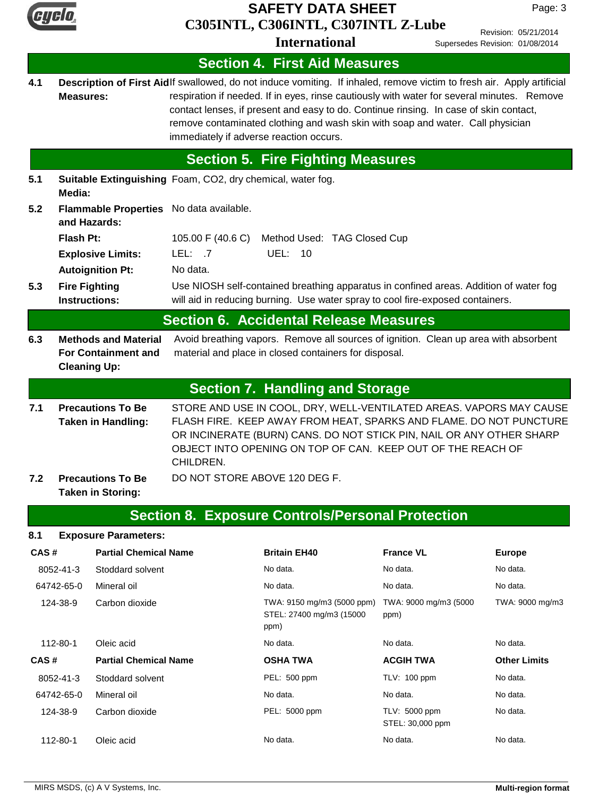

# **C305INTL, C306INTL, C307INTL Z-Lube SAFETY DATA SHEET**

Revision: 05/21/2014

Page: 3

|      |                                                                                                                                                                                                                                                                                                                                                 |                                         | <b>International</b>                                                                                                                                                                                                                                                                                                                                                                            |                  | Revision: 05/21/2014<br>Supersedes Revision: 01/08/2014 |  |
|------|-------------------------------------------------------------------------------------------------------------------------------------------------------------------------------------------------------------------------------------------------------------------------------------------------------------------------------------------------|-----------------------------------------|-------------------------------------------------------------------------------------------------------------------------------------------------------------------------------------------------------------------------------------------------------------------------------------------------------------------------------------------------------------------------------------------------|------------------|---------------------------------------------------------|--|
|      |                                                                                                                                                                                                                                                                                                                                                 |                                         | <b>Section 4. First Aid Measures</b>                                                                                                                                                                                                                                                                                                                                                            |                  |                                                         |  |
| 4.1  | <b>Measures:</b>                                                                                                                                                                                                                                                                                                                                | immediately if adverse reaction occurs. | Description of First Aidlf swallowed, do not induce vomiting. If inhaled, remove victim to fresh air. Apply artificial<br>respiration if needed. If in eyes, rinse cautiously with water for several minutes. Remove<br>contact lenses, if present and easy to do. Continue rinsing. In case of skin contact,<br>remove contaminated clothing and wash skin with soap and water. Call physician |                  |                                                         |  |
|      |                                                                                                                                                                                                                                                                                                                                                 |                                         | <b>Section 5. Fire Fighting Measures</b>                                                                                                                                                                                                                                                                                                                                                        |                  |                                                         |  |
| 5.1  | Suitable Extinguishing Foam, CO2, dry chemical, water fog.<br>Media:                                                                                                                                                                                                                                                                            |                                         |                                                                                                                                                                                                                                                                                                                                                                                                 |                  |                                                         |  |
| 5.2  | Flammable Properties No data available.<br>and Hazards:                                                                                                                                                                                                                                                                                         |                                         |                                                                                                                                                                                                                                                                                                                                                                                                 |                  |                                                         |  |
|      | <b>Flash Pt:</b>                                                                                                                                                                                                                                                                                                                                |                                         | 105.00 F (40.6 C) Method Used: TAG Closed Cup                                                                                                                                                                                                                                                                                                                                                   |                  |                                                         |  |
|      | <b>Explosive Limits:</b>                                                                                                                                                                                                                                                                                                                        | LEL: .7                                 | <b>UEL: 10</b>                                                                                                                                                                                                                                                                                                                                                                                  |                  |                                                         |  |
|      | <b>Autoignition Pt:</b>                                                                                                                                                                                                                                                                                                                         | No data.                                |                                                                                                                                                                                                                                                                                                                                                                                                 |                  |                                                         |  |
| 5.3  | <b>Fire Fighting</b><br><b>Instructions:</b>                                                                                                                                                                                                                                                                                                    |                                         | Use NIOSH self-contained breathing apparatus in confined areas. Addition of water fog<br>will aid in reducing burning. Use water spray to cool fire-exposed containers.                                                                                                                                                                                                                         |                  |                                                         |  |
|      |                                                                                                                                                                                                                                                                                                                                                 |                                         | <b>Section 6. Accidental Release Measures</b>                                                                                                                                                                                                                                                                                                                                                   |                  |                                                         |  |
| 6.3  | <b>Methods and Material</b><br><b>For Containment and</b><br><b>Cleaning Up:</b>                                                                                                                                                                                                                                                                |                                         | Avoid breathing vapors. Remove all sources of ignition. Clean up area with absorbent<br>material and place in closed containers for disposal.                                                                                                                                                                                                                                                   |                  |                                                         |  |
|      |                                                                                                                                                                                                                                                                                                                                                 |                                         | <b>Section 7. Handling and Storage</b>                                                                                                                                                                                                                                                                                                                                                          |                  |                                                         |  |
| 7.1  | STORE AND USE IN COOL, DRY, WELL-VENTILATED AREAS. VAPORS MAY CAUSE<br><b>Precautions To Be</b><br>FLASH FIRE. KEEP AWAY FROM HEAT, SPARKS AND FLAME. DO NOT PUNCTURE<br>Taken in Handling:<br>OR INCINERATE (BURN) CANS. DO NOT STICK PIN, NAIL OR ANY OTHER SHARP<br>OBJECT INTO OPENING ON TOP OF CAN. KEEP OUT OF THE REACH OF<br>CHILDREN. |                                         |                                                                                                                                                                                                                                                                                                                                                                                                 |                  |                                                         |  |
| 7.2  | <b>Precautions To Be</b><br><b>Taken in Storing:</b>                                                                                                                                                                                                                                                                                            | DO NOT STORE ABOVE 120 DEG F.           |                                                                                                                                                                                                                                                                                                                                                                                                 |                  |                                                         |  |
|      | <b>Section 8. Exposure Controls/Personal Protection</b>                                                                                                                                                                                                                                                                                         |                                         |                                                                                                                                                                                                                                                                                                                                                                                                 |                  |                                                         |  |
| 8.1  | <b>Exposure Parameters:</b>                                                                                                                                                                                                                                                                                                                     |                                         |                                                                                                                                                                                                                                                                                                                                                                                                 |                  |                                                         |  |
| CAS# | <b>Partial Chemical Name</b>                                                                                                                                                                                                                                                                                                                    |                                         | <b>Britain EH40</b>                                                                                                                                                                                                                                                                                                                                                                             | <b>France VL</b> | <b>Europe</b>                                           |  |
|      | 8052-41-3<br>Stoddard solvent                                                                                                                                                                                                                                                                                                                   |                                         | No data.                                                                                                                                                                                                                                                                                                                                                                                        | No data.         | No data.                                                |  |

64742-65-0 Mineral oil No data. No data. No data.

ppm)

 112-80-1 Oleic acid No data. No data. No data. **CAS # Partial Chemical Name OSHA TWA ACGIH TWA Other Limits** 8052-41-3 Stoddard solvent PEL: 500 ppm TLV: 100 ppm No data. 64742-65-0 Mineral oil No data. No data. No data.

124-38-9 Carbon dioxide **No assume TEL:** 5000 ppm TLV: 5000 ppm No data.

112-80-1 Oleic acid No data. No data. No data.

TWA: 9150 mg/m3 (5000 ppm) TWA: 9000 mg/m3 (5000 124-38-9 Carbon dioxide TWA: 9000 mg/m3 STEL: 27400 mg/m3 (15000

ppm)

STEL: 30,000 ppm

PEL: 5000 ppm TLV: 5000 ppm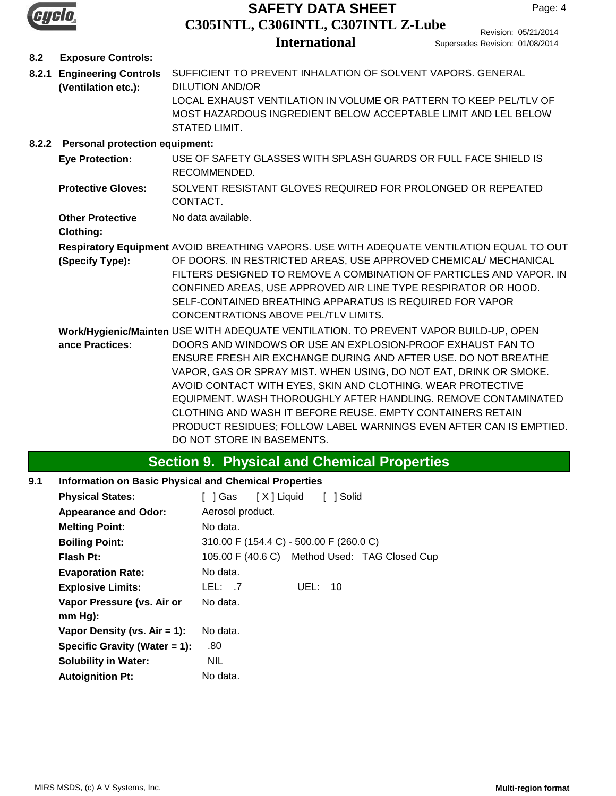

# **C305INTL, C306INTL, C307INTL Z-Lube SAFETY DATA SHEET**

# **International**

Revision: 05/21/2014 Supersedes Revision: 01/08/2014

## **8.2 Exposure Controls:**

**8.2.1 Engineering Controls** SUFFICIENT TO PREVENT INHALATION OF SOLVENT VAPORS. GENERAL DILUTION AND/OR LOCAL EXHAUST VENTILATION IN VOLUME OR PATTERN TO KEEP PEL/TLV OF MOST HAZARDOUS INGREDIENT BELOW ACCEPTABLE LIMIT AND LEL BELOW STATED LIMIT. **(Ventilation etc.):**

## **8.2.2 Personal protection equipment:**

- USE OF SAFETY GLASSES WITH SPLASH GUARDS OR FULL FACE SHIELD IS RECOMMENDED. **Eye Protection:**
- SOLVENT RESISTANT GLOVES REQUIRED FOR PROLONGED OR REPEATED CONTACT. **Protective Gloves:**
- **Other Protective** No data available.

## **Clothing:**

**Respiratory Equipment** AVOID BREATHING VAPORS. USE WITH ADEQUATE VENTILATION EQUAL TO OUT

OF DOORS. IN RESTRICTED AREAS, USE APPROVED CHEMICAL/ MECHANICAL FILTERS DESIGNED TO REMOVE A COMBINATION OF PARTICLES AND VAPOR. IN CONFINED AREAS, USE APPROVED AIR LINE TYPE RESPIRATOR OR HOOD. SELF-CONTAINED BREATHING APPARATUS IS REQUIRED FOR VAPOR CONCENTRATIONS ABOVE PEL/TLV LIMITS. **(Specify Type):**

**Work/Hygienic/Mainten** USE WITH ADEQUATE VENTILATION. TO PREVENT VAPOR BUILD-UP, OPEN DOORS AND WINDOWS OR USE AN EXPLOSION-PROOF EXHAUST FAN TO ENSURE FRESH AIR EXCHANGE DURING AND AFTER USE. DO NOT BREATHE VAPOR, GAS OR SPRAY MIST. WHEN USING, DO NOT EAT, DRINK OR SMOKE. AVOID CONTACT WITH EYES, SKIN AND CLOTHING. WEAR PROTECTIVE EQUIPMENT. WASH THOROUGHLY AFTER HANDLING. REMOVE CONTAMINATED CLOTHING AND WASH IT BEFORE REUSE. EMPTY CONTAINERS RETAIN PRODUCT RESIDUES; FOLLOW LABEL WARNINGS EVEN AFTER CAN IS EMPTIED. DO NOT STORE IN BASEMENTS. **ance Practices:**

# **Section 9. Physical and Chemical Properties**

## **9.1 Information on Basic Physical and Chemical Properties**

| <b>Physical States:</b>          | [X] Liquid<br>1 Solid<br>l Gas<br>$\mathbf{L}$ |
|----------------------------------|------------------------------------------------|
| <b>Appearance and Odor:</b>      | Aerosol product.                               |
| <b>Melting Point:</b>            | No data.                                       |
| <b>Boiling Point:</b>            | 310.00 F (154.4 C) - 500.00 F (260.0 C)        |
| <b>Flash Pt:</b>                 | 105.00 F (40.6 C) Method Used: TAG Closed Cup  |
| <b>Evaporation Rate:</b>         | No data.                                       |
| <b>Explosive Limits:</b>         | UEL: 10<br>LEL: 7                              |
| Vapor Pressure (vs. Air or       | No data.                                       |
| $mm Hg$ :                        |                                                |
| Vapor Density (vs. $Air = 1$ ):  | No data.                                       |
| Specific Gravity (Water $= 1$ ): | .80                                            |
| <b>Solubility in Water:</b>      | <b>NIL</b>                                     |
| <b>Autoignition Pt:</b>          | No data.                                       |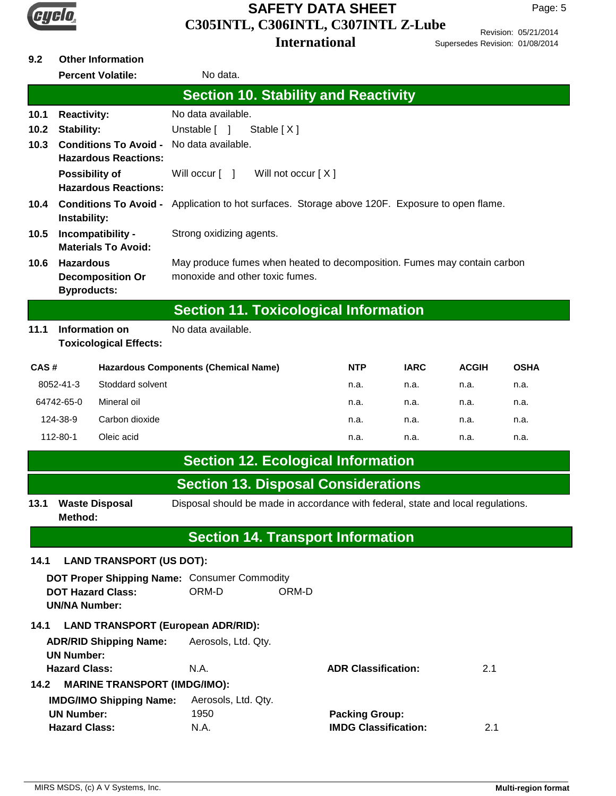

# **C305INTL, C306INTL, C307INTL Z-Lube International SAFETY DATA SHEET**

Revision: 05/21/2014 Supersedes Revision: 01/08/2014

# **9.2 Other Information**

|                                                                                                                                                                                        |                                                                                                                      | <b>Percent Volatile:</b>            | No data.                                                                                                                                                                         |       |                                                      |             |              |             |
|----------------------------------------------------------------------------------------------------------------------------------------------------------------------------------------|----------------------------------------------------------------------------------------------------------------------|-------------------------------------|----------------------------------------------------------------------------------------------------------------------------------------------------------------------------------|-------|------------------------------------------------------|-------------|--------------|-------------|
|                                                                                                                                                                                        |                                                                                                                      |                                     | <b>Section 10. Stability and Reactivity</b>                                                                                                                                      |       |                                                      |             |              |             |
| 10.1<br><b>Reactivity:</b><br>10.2<br><b>Stability:</b><br><b>Conditions To Avoid -</b><br>10.3<br><b>Hazardous Reactions:</b><br><b>Possibility of</b><br><b>Hazardous Reactions:</b> |                                                                                                                      |                                     | No data available.<br>Unstable [ ]<br>Stable [X]<br>No data available.<br>Will not occur [X]<br>Will occur [ ]                                                                   |       |                                                      |             |              |             |
| <b>Conditions To Avoid -</b><br>10.4<br>Instability:<br>Incompatibility -<br>10.5<br><b>Materials To Avoid:</b><br><b>Hazardous</b><br>10.6                                            |                                                                                                                      |                                     | Application to hot surfaces. Storage above 120F. Exposure to open flame.<br>Strong oxidizing agents.<br>May produce fumes when heated to decomposition. Fumes may contain carbon |       |                                                      |             |              |             |
|                                                                                                                                                                                        | <b>Byproducts:</b>                                                                                                   | <b>Decomposition Or</b>             | monoxide and other toxic fumes.                                                                                                                                                  |       |                                                      |             |              |             |
|                                                                                                                                                                                        |                                                                                                                      |                                     | <b>Section 11. Toxicological Information</b>                                                                                                                                     |       |                                                      |             |              |             |
| 11.1                                                                                                                                                                                   | Information on                                                                                                       | <b>Toxicological Effects:</b>       | No data available.                                                                                                                                                               |       |                                                      |             |              |             |
| CAS#                                                                                                                                                                                   |                                                                                                                      |                                     | <b>Hazardous Components (Chemical Name)</b>                                                                                                                                      |       | <b>NTP</b>                                           | <b>IARC</b> | <b>ACGIH</b> | <b>OSHA</b> |
|                                                                                                                                                                                        | 8052-41-3                                                                                                            | Stoddard solvent                    |                                                                                                                                                                                  |       | n.a.                                                 | n.a.        | n.a.         | n.a.        |
|                                                                                                                                                                                        | 64742-65-0                                                                                                           | Mineral oil                         |                                                                                                                                                                                  |       | n.a.                                                 | n.a.        | n.a.         | n.a.        |
|                                                                                                                                                                                        | 124-38-9                                                                                                             | Carbon dioxide                      |                                                                                                                                                                                  |       | n.a.                                                 | n.a.        | n.a.         | n.a.        |
|                                                                                                                                                                                        | 112-80-1                                                                                                             | Oleic acid                          |                                                                                                                                                                                  |       | n.a.                                                 | n.a.        | n.a.         | n.a.        |
|                                                                                                                                                                                        |                                                                                                                      |                                     | <b>Section 12. Ecological Information</b>                                                                                                                                        |       |                                                      |             |              |             |
|                                                                                                                                                                                        |                                                                                                                      |                                     | <b>Section 13. Disposal Considerations</b>                                                                                                                                       |       |                                                      |             |              |             |
| 13.1                                                                                                                                                                                   | Disposal should be made in accordance with federal, state and local regulations.<br><b>Waste Disposal</b><br>Method: |                                     |                                                                                                                                                                                  |       |                                                      |             |              |             |
|                                                                                                                                                                                        |                                                                                                                      |                                     | <b>Section 14. Transport Information</b>                                                                                                                                         |       |                                                      |             |              |             |
| 14.1                                                                                                                                                                                   |                                                                                                                      | <b>LAND TRANSPORT (US DOT):</b>     |                                                                                                                                                                                  |       |                                                      |             |              |             |
|                                                                                                                                                                                        | <b>UN/NA Number:</b>                                                                                                 | <b>DOT Hazard Class:</b>            | DOT Proper Shipping Name: Consumer Commodity<br>ORM-D                                                                                                                            | ORM-D |                                                      |             |              |             |
| 14.1                                                                                                                                                                                   | <b>LAND TRANSPORT (European ADR/RID):</b>                                                                            |                                     |                                                                                                                                                                                  |       |                                                      |             |              |             |
|                                                                                                                                                                                        | <b>UN Number:</b>                                                                                                    | <b>ADR/RID Shipping Name:</b>       | Aerosols, Ltd. Qty.                                                                                                                                                              |       |                                                      |             |              |             |
| 14.2                                                                                                                                                                                   | <b>Hazard Class:</b>                                                                                                 | <b>MARINE TRANSPORT (IMDG/IMO):</b> | N.A.                                                                                                                                                                             |       | <b>ADR Classification:</b>                           |             | 2.1          |             |
|                                                                                                                                                                                        | <b>UN Number:</b><br><b>Hazard Class:</b>                                                                            | <b>IMDG/IMO Shipping Name:</b>      | Aerosols, Ltd. Qty.<br>1950<br>N.A.                                                                                                                                              |       | <b>Packing Group:</b><br><b>IMDG Classification:</b> |             | 2.1          |             |